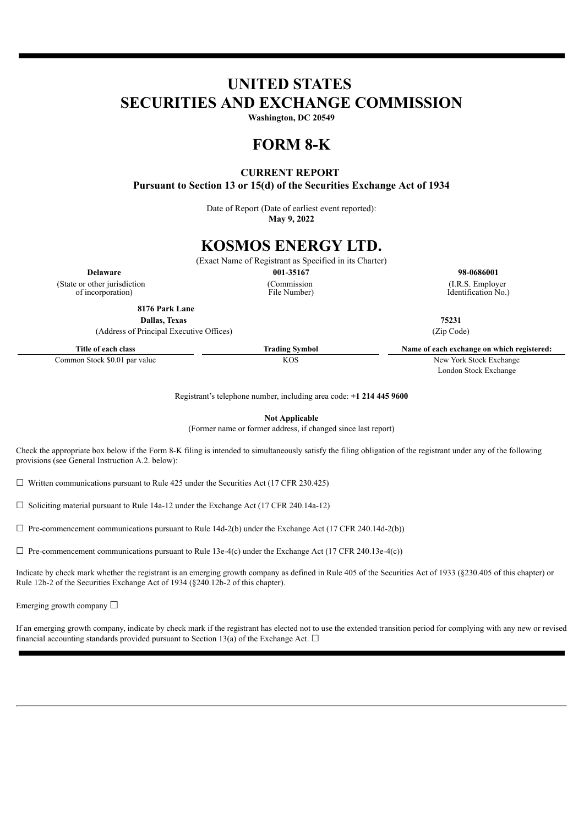# **UNITED STATES SECURITIES AND EXCHANGE COMMISSION**

**Washington, DC 20549**

# **FORM 8-K**

#### **CURRENT REPORT**

**Pursuant to Section 13 or 15(d) of the Securities Exchange Act of 1934**

Date of Report (Date of earliest event reported): **May 9, 2022**

**KOSMOS ENERGY LTD.**

(Exact Name of Registrant as Specified in its Charter)

(State or other jurisdiction of incorporation)

(Commission File Number)

**Delaware 001-35167 98-0686001** (I.R.S. Employer Identification No.)

**Dallas, Texas 75231** (Address of Principal Executive Offices) (Zip Code)

**Title of each class Trading Symbol Name of each exchange on which registered:**

Common Stock \$0.01 par value KOS New York Stock Exchange London Stock Exchange

Registrant's telephone number, including area code: **+1 214 445 9600**

**Not Applicable**

(Former name or former address, if changed since last report)

Check the appropriate box below if the Form 8-K filing is intended to simultaneously satisfy the filing obligation of the registrant under any of the following provisions (see General Instruction A.2. below):

 $\Box$  Written communications pursuant to Rule 425 under the Securities Act (17 CFR 230.425)

**8176 Park Lane**

 $\Box$  Soliciting material pursuant to Rule 14a-12 under the Exchange Act (17 CFR 240.14a-12)

 $\Box$  Pre-commencement communications pursuant to Rule 14d-2(b) under the Exchange Act (17 CFR 240.14d-2(b))

 $\Box$  Pre-commencement communications pursuant to Rule 13e-4(c) under the Exchange Act (17 CFR 240.13e-4(c))

Indicate by check mark whether the registrant is an emerging growth company as defined in Rule 405 of the Securities Act of 1933 (§230.405 of this chapter) or Rule 12b-2 of the Securities Exchange Act of 1934 (§240.12b-2 of this chapter).

Emerging growth company  $\Box$ 

If an emerging growth company, indicate by check mark if the registrant has elected not to use the extended transition period for complying with any new or revised financial accounting standards provided pursuant to Section 13(a) of the Exchange Act.  $\Box$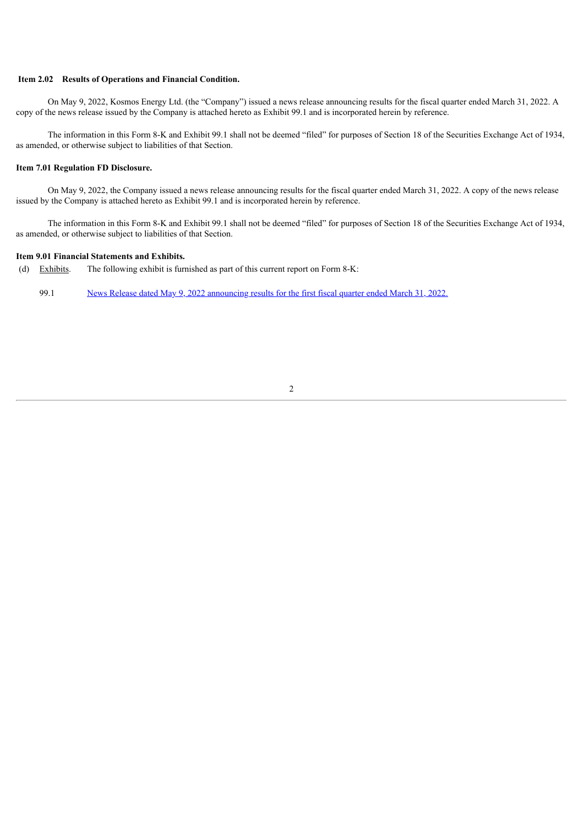#### **Item 2.02 Results of Operations and Financial Condition.**

On May 9, 2022, Kosmos Energy Ltd. (the "Company") issued a news release announcing results for the fiscal quarter ended March 31, 2022. A copy of the news release issued by the Company is attached hereto as Exhibit 99.1 and is incorporated herein by reference.

The information in this Form 8-K and Exhibit 99.1 shall not be deemed "filed" for purposes of Section 18 of the Securities Exchange Act of 1934, as amended, or otherwise subject to liabilities of that Section.

#### **Item 7.01 Regulation FD Disclosure.**

On May 9, 2022, the Company issued a news release announcing results for the fiscal quarter ended March 31, 2022. A copy of the news release issued by the Company is attached hereto as Exhibit 99.1 and is incorporated herein by reference.

The information in this Form 8-K and Exhibit 99.1 shall not be deemed "filed" for purposes of Section 18 of the Securities Exchange Act of 1934, as amended, or otherwise subject to liabilities of that Section.

#### **Item 9.01 Financial Statements and Exhibits.**

(d) Exhibits. The following exhibit is furnished as part of this current report on Form 8-K:

99.1 News Release dated May 9, 2022 [announcing](#page-4-0) results for the [first](#page-4-0) fiscal [quarter](#page-4-0) ended March 31, 2022.

#### $\overline{2}$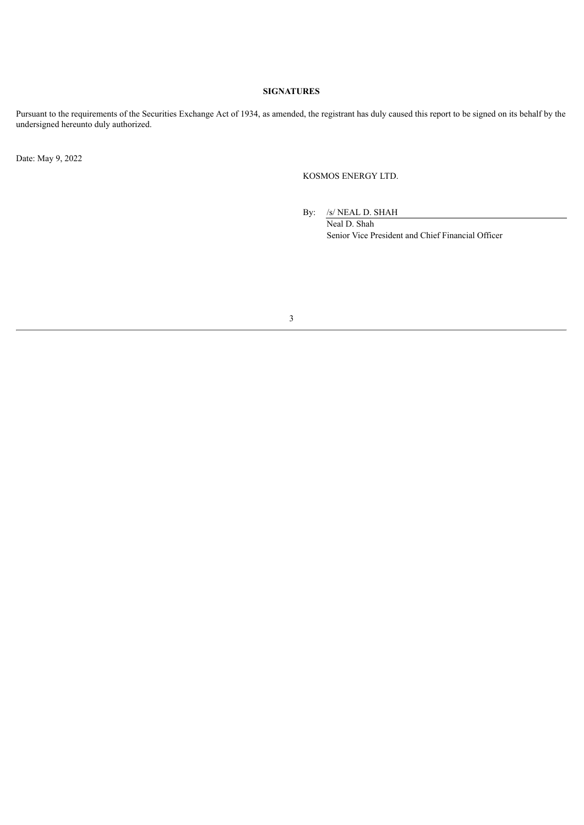#### **SIGNATURES**

Pursuant to the requirements of the Securities Exchange Act of 1934, as amended, the registrant has duly caused this report to be signed on its behalf by the undersigned hereunto duly authorized.

Date: May 9, 2022

KOSMOS ENERGY LTD.

By: /s/ NEAL D. SHAH

Neal D. Shah Senior Vice President and Chief Financial Officer

3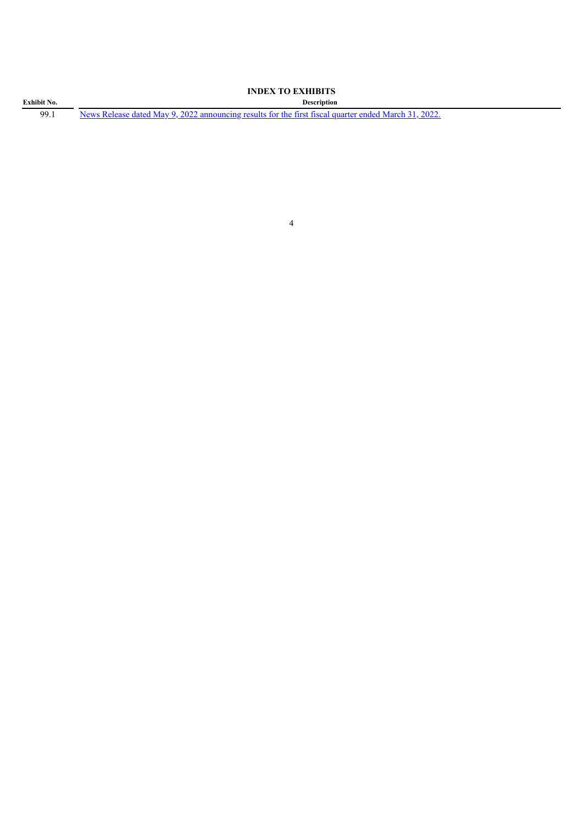|             | <b>INDEX TO EXHIBITS</b>                                                                             |  |  |  |
|-------------|------------------------------------------------------------------------------------------------------|--|--|--|
| Exhibit No. | <b>Description</b>                                                                                   |  |  |  |
| 99.1        | News Release dated May 9, 2022 announcing results for the first fiscal quarter ended March 31, 2022. |  |  |  |

4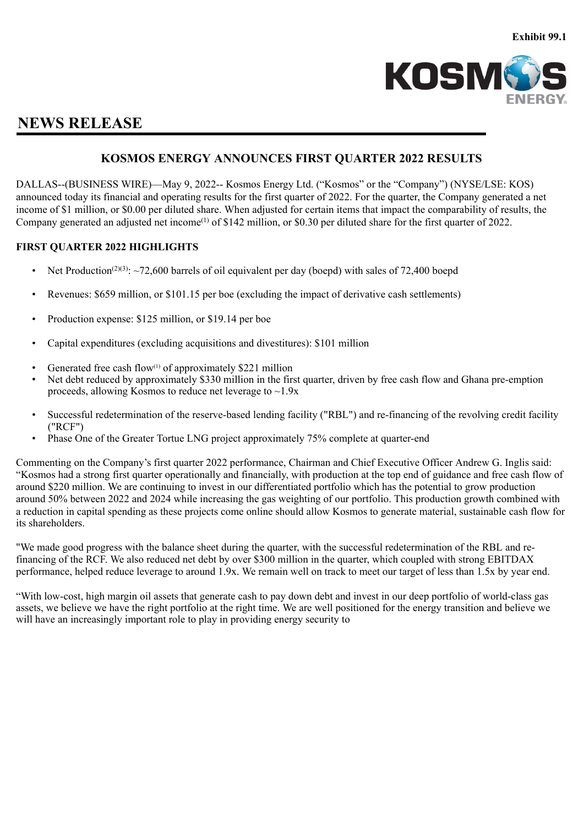

# <span id="page-4-0"></span>**NEWS RELEASE**

# **KOSMOS ENERGY ANNOUNCES FIRST QUARTER 2022 RESULTS**

DALLAS--(BUSINESS WIRE)—May 9, 2022-- Kosmos Energy Ltd. ("Kosmos" or the "Company") (NYSE/LSE: KOS) announced today its financial and operating results for the first quarter of 2022. For the quarter, the Company generated a net income of \$1 million, or \$0.00 per diluted share. When adjusted for certain items that impact the comparability of results, the Company generated an adjusted net income<sup>(1)</sup> of \$142 million, or \$0.30 per diluted share for the first quarter of 2022.

# **FIRST QUARTER 2022 HIGHLIGHTS**

- Net Production<sup>(2)(3)</sup>:  $\sim$ 72,600 barrels of oil equivalent per day (boepd) with sales of 72,400 boepd
- Revenues: \$659 million, or \$101.15 per boe (excluding the impact of derivative cash settlements)
- Production expense: \$125 million, or \$19.14 per boe
- Capital expenditures (excluding acquisitions and divestitures): \$101 million
- Generated free cash flow $(1)$  of approximately \$221 million
- Net debt reduced by approximately \$330 million in the first quarter, driven by free cash flow and Ghana pre-emption proceeds, allowing Kosmos to reduce net leverage to  $\sim$ 1.9x
- Successful redetermination of the reserve-based lending facility ("RBL") and re-financing of the revolving credit facility ("RCF")
- Phase One of the Greater Tortue LNG project approximately 75% complete at quarter-end

Commenting on the Company's first quarter 2022 performance, Chairman and Chief Executive Officer Andrew G. Inglis said: "Kosmos had a strong first quarter operationally and financially, with production at the top end of guidance and free cash flow of around \$220 million. We are continuing to invest in our differentiated portfolio which has the potential to grow production around 50% between 2022 and 2024 while increasing the gas weighting of our portfolio. This production growth combined with a reduction in capital spending as these projects come online should allow Kosmos to generate material, sustainable cash flow for its shareholders.

"We made good progress with the balance sheet during the quarter, with the successful redetermination of the RBL and refinancing of the RCF. We also reduced net debt by over \$300 million in the quarter, which coupled with strong EBITDAX performance, helped reduce leverage to around 1.9x. We remain well on track to meet our target of less than 1.5x by year end.

"With low-cost, high margin oil assets that generate cash to pay down debt and invest in our deep portfolio of world-class gas assets, we believe we have the right portfolio at the right time. We are well positioned for the energy transition and believe we will have an increasingly important role to play in providing energy security to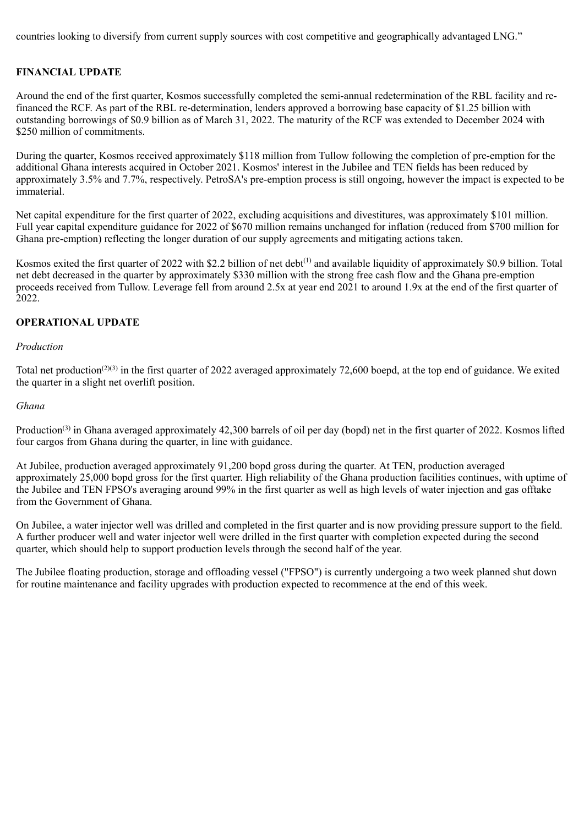countries looking to diversify from current supply sources with cost competitive and geographically advantaged LNG."

# **FINANCIAL UPDATE**

Around the end of the first quarter, Kosmos successfully completed the semi-annual redetermination of the RBL facility and refinanced the RCF. As part of the RBL re-determination, lenders approved a borrowing base capacity of \$1.25 billion with outstanding borrowings of \$0.9 billion as of March 31, 2022. The maturity of the RCF was extended to December 2024 with \$250 million of commitments.

During the quarter, Kosmos received approximately \$118 million from Tullow following the completion of pre-emption for the additional Ghana interests acquired in October 2021. Kosmos' interest in the Jubilee and TEN fields has been reduced by approximately 3.5% and 7.7%, respectively. PetroSA's pre-emption process is still ongoing, however the impact is expected to be immaterial.

Net capital expenditure for the first quarter of 2022, excluding acquisitions and divestitures, was approximately \$101 million. Full year capital expenditure guidance for 2022 of \$670 million remains unchanged for inflation (reduced from \$700 million for Ghana pre-emption) reflecting the longer duration of our supply agreements and mitigating actions taken.

Kosmos exited the first quarter of 2022 with \$2.2 billion of net debt $^{(1)}$  and available liquidity of approximately \$0.9 billion. Total net debt decreased in the quarter by approximately \$330 million with the strong free cash flow and the Ghana pre-emption proceeds received from Tullow. Leverage fell from around 2.5x at year end 2021 to around 1.9x at the end of the first quarter of 2022.

### **OPERATIONAL UPDATE**

#### *Production*

Total net production<sup>(2)(3)</sup> in the first quarter of 2022 averaged approximately 72,600 boepd, at the top end of guidance. We exited the quarter in a slight net overlift position.

#### *Ghana*

Production<sup>(3)</sup> in Ghana averaged approximately 42,300 barrels of oil per day (bopd) net in the first quarter of 2022. Kosmos lifted four cargos from Ghana during the quarter, in line with guidance.

At Jubilee, production averaged approximately 91,200 bopd gross during the quarter. At TEN, production averaged approximately 25,000 bopd gross for the first quarter. High reliability of the Ghana production facilities continues, with uptime of the Jubilee and TEN FPSO's averaging around 99% in the first quarter as well as high levels of water injection and gas offtake from the Government of Ghana.

On Jubilee, a water injector well was drilled and completed in the first quarter and is now providing pressure support to the field. A further producer well and water injector well were drilled in the first quarter with completion expected during the second quarter, which should help to support production levels through the second half of the year.

The Jubilee floating production, storage and offloading vessel ("FPSO") is currently undergoing a two week planned shut down for routine maintenance and facility upgrades with production expected to recommence at the end of this week.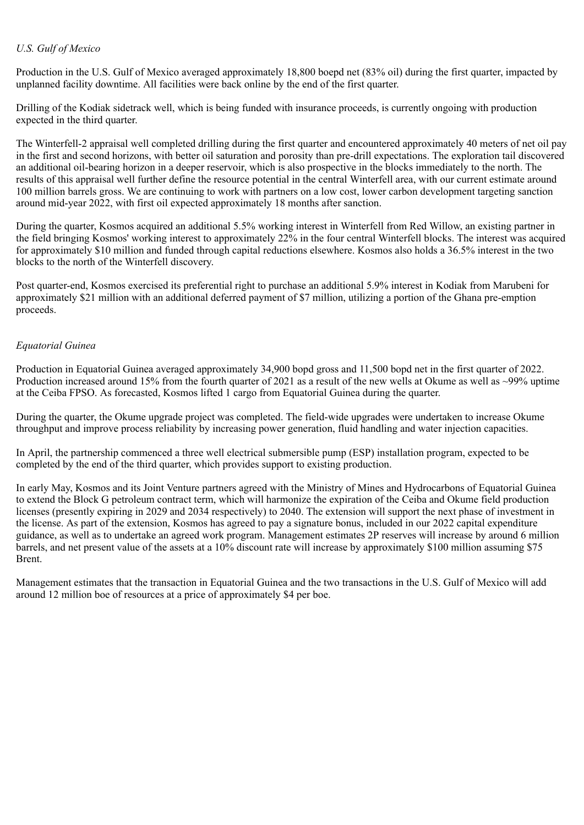# *U.S. Gulf of Mexico*

Production in the U.S. Gulf of Mexico averaged approximately 18,800 boepd net (83% oil) during the first quarter, impacted by unplanned facility downtime. All facilities were back online by the end of the first quarter.

Drilling of the Kodiak sidetrack well, which is being funded with insurance proceeds, is currently ongoing with production expected in the third quarter.

The Winterfell-2 appraisal well completed drilling during the first quarter and encountered approximately 40 meters of net oil pay in the first and second horizons, with better oil saturation and porosity than pre-drill expectations. The exploration tail discovered an additional oil-bearing horizon in a deeper reservoir, which is also prospective in the blocks immediately to the north. The results of this appraisal well further define the resource potential in the central Winterfell area, with our current estimate around 100 million barrels gross. We are continuing to work with partners on a low cost, lower carbon development targeting sanction around mid-year 2022, with first oil expected approximately 18 months after sanction.

During the quarter, Kosmos acquired an additional 5.5% working interest in Winterfell from Red Willow, an existing partner in the field bringing Kosmos' working interest to approximately 22% in the four central Winterfell blocks. The interest was acquired for approximately \$10 million and funded through capital reductions elsewhere. Kosmos also holds a 36.5% interest in the two blocks to the north of the Winterfell discovery.

Post quarter-end, Kosmos exercised its preferential right to purchase an additional 5.9% interest in Kodiak from Marubeni for approximately \$21 million with an additional deferred payment of \$7 million, utilizing a portion of the Ghana pre-emption proceeds.

### *Equatorial Guinea*

Production in Equatorial Guinea averaged approximately 34,900 bopd gross and 11,500 bopd net in the first quarter of 2022. Production increased around 15% from the fourth quarter of 2021 as a result of the new wells at Okume as well as ~99% uptime at the Ceiba FPSO. As forecasted, Kosmos lifted 1 cargo from Equatorial Guinea during the quarter.

During the quarter, the Okume upgrade project was completed. The field-wide upgrades were undertaken to increase Okume throughput and improve process reliability by increasing power generation, fluid handling and water injection capacities.

In April, the partnership commenced a three well electrical submersible pump (ESP) installation program, expected to be completed by the end of the third quarter, which provides support to existing production.

In early May, Kosmos and its Joint Venture partners agreed with the Ministry of Mines and Hydrocarbons of Equatorial Guinea to extend the Block G petroleum contract term, which will harmonize the expiration of the Ceiba and Okume field production licenses (presently expiring in 2029 and 2034 respectively) to 2040. The extension will support the next phase of investment in the license. As part of the extension, Kosmos has agreed to pay a signature bonus, included in our 2022 capital expenditure guidance, as well as to undertake an agreed work program. Management estimates 2P reserves will increase by around 6 million barrels, and net present value of the assets at a 10% discount rate will increase by approximately \$100 million assuming \$75 Brent.

Management estimates that the transaction in Equatorial Guinea and the two transactions in the U.S. Gulf of Mexico will add around 12 million boe of resources at a price of approximately \$4 per boe.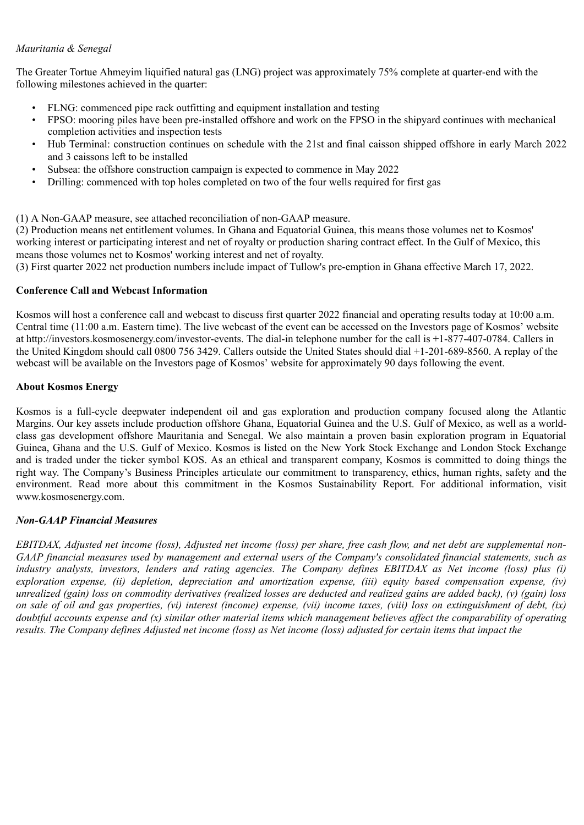# *Mauritania & Senegal*

The Greater Tortue Ahmeyim liquified natural gas (LNG) project was approximately 75% complete at quarter-end with the following milestones achieved in the quarter:

- FLNG: commenced pipe rack outfitting and equipment installation and testing
- FPSO: mooring piles have been pre-installed offshore and work on the FPSO in the shipyard continues with mechanical completion activities and inspection tests
- Hub Terminal: construction continues on schedule with the 21st and final caisson shipped offshore in early March 2022 and 3 caissons left to be installed
- Subsea: the offshore construction campaign is expected to commence in May 2022
- Drilling: commenced with top holes completed on two of the four wells required for first gas

(1) A Non-GAAP measure, see attached reconciliation of non-GAAP measure.

(2) Production means net entitlement volumes. In Ghana and Equatorial Guinea, this means those volumes net to Kosmos' working interest or participating interest and net of royalty or production sharing contract effect. In the Gulf of Mexico, this means those volumes net to Kosmos' working interest and net of royalty.

(3) First quarter 2022 net production numbers include impact of Tullow's pre-emption in Ghana effective March 17, 2022.

#### **Conference Call and Webcast Information**

Kosmos will host a conference call and webcast to discuss first quarter 2022 financial and operating results today at 10:00 a.m. Central time (11:00 a.m. Eastern time). The live webcast of the event can be accessed on the Investors page of Kosmos' website at http://investors.kosmosenergy.com/investor-events. The dial-in telephone number for the call is +1-877-407-0784. Callers in the United Kingdom should call 0800 756 3429. Callers outside the United States should dial +1-201-689-8560. A replay of the webcast will be available on the Investors page of Kosmos' website for approximately 90 days following the event.

### **About Kosmos Energy**

Kosmos is a full-cycle deepwater independent oil and gas exploration and production company focused along the Atlantic Margins. Our key assets include production offshore Ghana, Equatorial Guinea and the U.S. Gulf of Mexico, as well as a worldclass gas development offshore Mauritania and Senegal. We also maintain a proven basin exploration program in Equatorial Guinea, Ghana and the U.S. Gulf of Mexico. Kosmos is listed on the New York Stock Exchange and London Stock Exchange and is traded under the ticker symbol KOS. As an ethical and transparent company, Kosmos is committed to doing things the right way. The Company's Business Principles articulate our commitment to transparency, ethics, human rights, safety and the environment. Read more about this commitment in the Kosmos Sustainability Report. For additional information, visit www.kosmosenergy.com.

#### *Non-GAAP Financial Measures*

*EBITDAX, Adjusted net income (loss), Adjusted net income (loss) per share, free cash flow, and net debt are supplemental non-GAAP financial measures used by management and external users of the Company's consolidated financial statements, such as industry analysts, investors, lenders and rating agencies. The Company defines EBITDAX as Net income (loss) plus (i) exploration expense, (ii) depletion, depreciation and amortization expense, (iii) equity based compensation expense, (iv) unrealized (gain) loss on commodity derivatives (realized losses are deducted and realized gains are added back), (v) (gain) loss on sale of oil and gas properties, (vi) interest (income) expense, (vii) income taxes, (viii) loss on extinguishment of debt, (ix) doubtful accounts expense and (x) similar other material items which management believes affect the comparability of operating results. The Company defines Adjusted net income (loss) as Net income (loss) adjusted for certain items that impact the*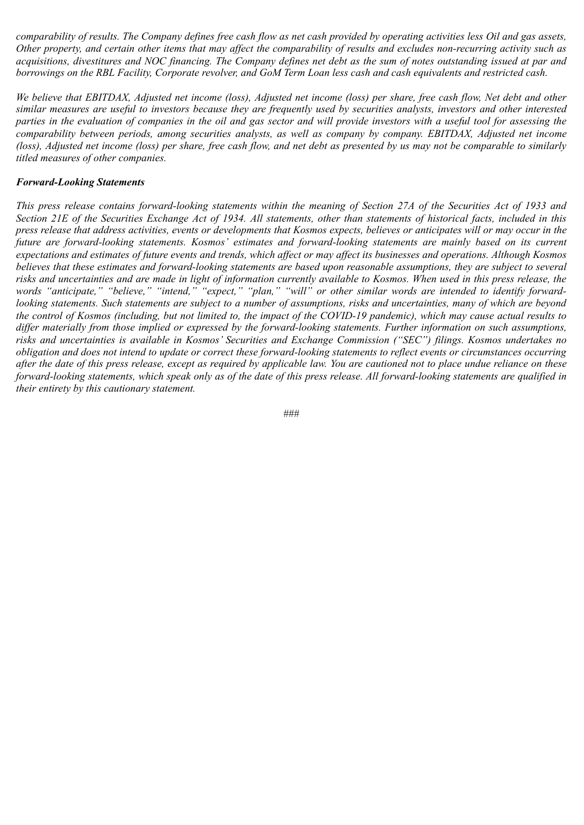*comparability of results. The Company defines free cash flow as net cash provided by operating activities less Oil and gas assets, Other property, and certain other items that may affect the comparability of results and excludes non-recurring activity such as acquisitions, divestitures and NOC financing. The Company defines net debt as the sum of notes outstanding issued at par and borrowings on the RBL Facility, Corporate revolver, and GoM Term Loan less cash and cash equivalents and restricted cash.*

*We believe that EBITDAX, Adjusted net income (loss), Adjusted net income (loss) per share, free cash flow, Net debt and other similar measures are useful to investors because they are frequently used by securities analysts, investors and other interested parties in the evaluation of companies in the oil and gas sector and will provide investors with a useful tool for assessing the comparability between periods, among securities analysts, as well as company by company. EBITDAX, Adjusted net income (loss), Adjusted net income (loss) per share, free cash flow, and net debt as presented by us may not be comparable to similarly titled measures of other companies.*

#### *Forward-Looking Statements*

*This press release contains forward-looking statements within the meaning of Section 27A of the Securities Act of 1933 and Section 21E of the Securities Exchange Act of 1934. All statements, other than statements of historical facts, included in this press release that address activities, events or developments that Kosmos expects, believes or anticipates will or may occur in the future are forward-looking statements. Kosmos' estimates and forward-looking statements are mainly based on its current expectations and estimates of future events and trends, which affect or may affect its businesses and operations. Although Kosmos believes that these estimates and forward-looking statements are based upon reasonable assumptions, they are subject to several risks and uncertainties and are made in light of information currently available to Kosmos. When used in this press release, the words "anticipate," "believe," "intend," "expect," "plan," "will" or other similar words are intended to identify forwardlooking statements. Such statements are subject to a number of assumptions, risks and uncertainties, many of which are beyond the control of Kosmos (including, but not limited to, the impact of the COVID-19 pandemic), which may cause actual results to differ materially from those implied or expressed by the forward-looking statements. Further information on such assumptions, risks and uncertainties is available in Kosmos' Securities and Exchange Commission ("SEC") filings. Kosmos undertakes no obligation and does not intend to update or correct these forward-looking statements to reflect events or circumstances occurring after the date of this press release, except as required by applicable law. You are cautioned not to place undue reliance on these forward-looking statements, which speak only as of the date of this press release. All forward-looking statements are qualified in their entirety by this cautionary statement.*

###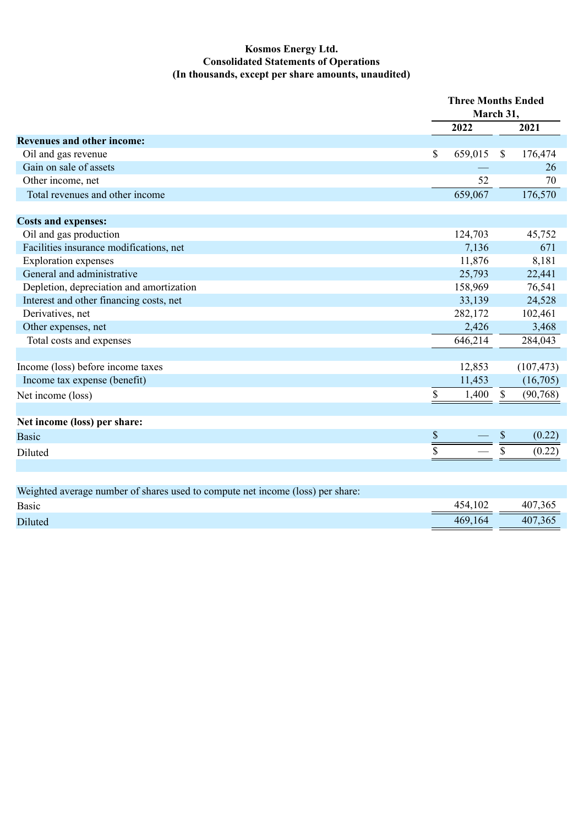# **Kosmos Energy Ltd. Consolidated Statements of Operations (In thousands, except per share amounts, unaudited)**

|                                                                                | <b>Three Months Ended</b><br>March 31, |         |             |            |
|--------------------------------------------------------------------------------|----------------------------------------|---------|-------------|------------|
|                                                                                | 2022                                   |         | 2021        |            |
| <b>Revenues and other income:</b>                                              |                                        |         |             |            |
| Oil and gas revenue                                                            | \$                                     | 659,015 | \$          | 176,474    |
| Gain on sale of assets                                                         |                                        |         |             | 26         |
| Other income, net                                                              |                                        | 52      |             | 70         |
| Total revenues and other income                                                |                                        | 659,067 |             | 176,570    |
| <b>Costs and expenses:</b>                                                     |                                        |         |             |            |
| Oil and gas production                                                         |                                        | 124,703 |             | 45,752     |
| Facilities insurance modifications, net                                        |                                        | 7,136   |             | 671        |
| <b>Exploration</b> expenses                                                    |                                        | 11,876  |             | 8,181      |
| General and administrative                                                     |                                        | 25,793  |             | 22,441     |
| Depletion, depreciation and amortization                                       |                                        | 158,969 |             | 76,541     |
| Interest and other financing costs, net                                        |                                        | 33,139  |             | 24,528     |
| Derivatives, net                                                               |                                        | 282,172 |             | 102,461    |
| Other expenses, net                                                            |                                        | 2,426   |             | 3,468      |
| Total costs and expenses                                                       |                                        | 646,214 |             | 284,043    |
| Income (loss) before income taxes                                              |                                        | 12,853  |             | (107, 473) |
| Income tax expense (benefit)                                                   |                                        | 11,453  |             | (16,705)   |
| Net income (loss)                                                              | \$                                     | 1,400   | $\mathbb S$ | (90, 768)  |
| Net income (loss) per share:                                                   |                                        |         |             |            |
| <b>Basic</b>                                                                   | $\frac{1}{2}$                          |         |             | (0.22)     |
| Diluted                                                                        | \$                                     |         | \$          | (0.22)     |
|                                                                                |                                        |         |             |            |
| Weighted average number of shares used to compute net income (loss) per share: |                                        |         |             |            |
| <b>Basic</b>                                                                   |                                        | 454,102 |             | 407,365    |
| Diluted                                                                        |                                        | 469,164 |             | 407,365    |
|                                                                                |                                        |         |             |            |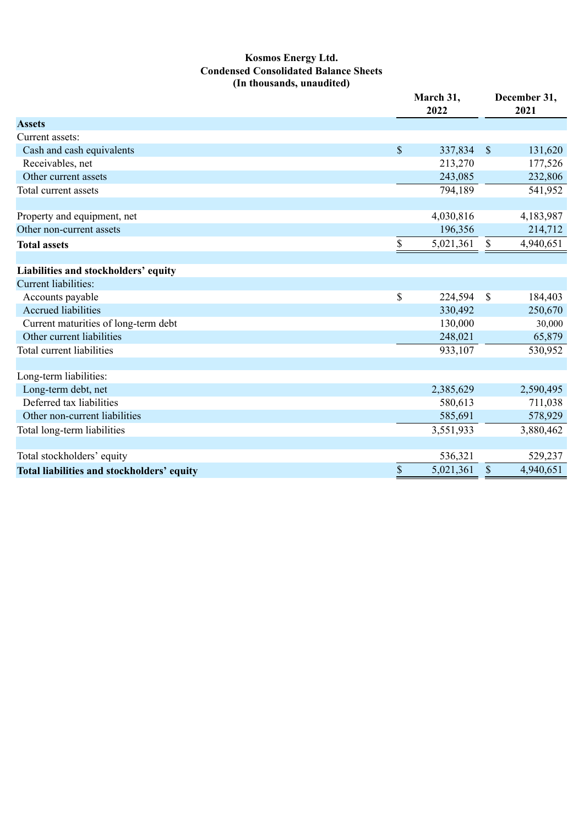# **Kosmos Energy Ltd. Condensed Consolidated Balance Sheets (In thousands, unaudited)**

|                                            |              | March 31,<br>2022 |               | December 31,<br>2021 |
|--------------------------------------------|--------------|-------------------|---------------|----------------------|
| <b>Assets</b>                              |              |                   |               |                      |
| Current assets:                            |              |                   |               |                      |
| Cash and cash equivalents                  | $\mathbb S$  | 337,834           | $\sqrt{\ }$   | 131,620              |
| Receivables, net                           |              | 213,270           |               | 177,526              |
| Other current assets                       |              | 243,085           |               | 232,806              |
| Total current assets                       |              | 794,189           |               | 541,952              |
|                                            |              |                   |               |                      |
| Property and equipment, net                |              | 4,030,816         |               | 4,183,987            |
| Other non-current assets                   |              | 196,356           |               | 214,712              |
| <b>Total assets</b>                        | \$           | 5,021,361         | \$            | 4,940,651            |
|                                            |              |                   |               |                      |
| Liabilities and stockholders' equity       |              |                   |               |                      |
| <b>Current liabilities:</b>                |              |                   |               |                      |
| Accounts payable                           | \$           | 224,594           | $\mathcal{S}$ | 184,403              |
| <b>Accrued liabilities</b>                 |              | 330,492           |               | 250,670              |
| Current maturities of long-term debt       |              | 130,000           |               | 30,000               |
| Other current liabilities                  |              | 248,021           |               | 65,879               |
| Total current liabilities                  |              | 933,107           |               | 530,952              |
|                                            |              |                   |               |                      |
| Long-term liabilities:                     |              |                   |               |                      |
| Long-term debt, net                        |              | 2,385,629         |               | 2,590,495            |
| Deferred tax liabilities                   |              | 580,613           |               | 711,038              |
| Other non-current liabilities              |              | 585,691           |               | 578,929              |
| Total long-term liabilities                |              | 3,551,933         |               | 3,880,462            |
|                                            |              |                   |               |                      |
| Total stockholders' equity                 |              | 536,321           |               | 529,237              |
| Total liabilities and stockholders' equity | $\mathbb{S}$ | 5,021,361         | $\mathcal{S}$ | 4,940,651            |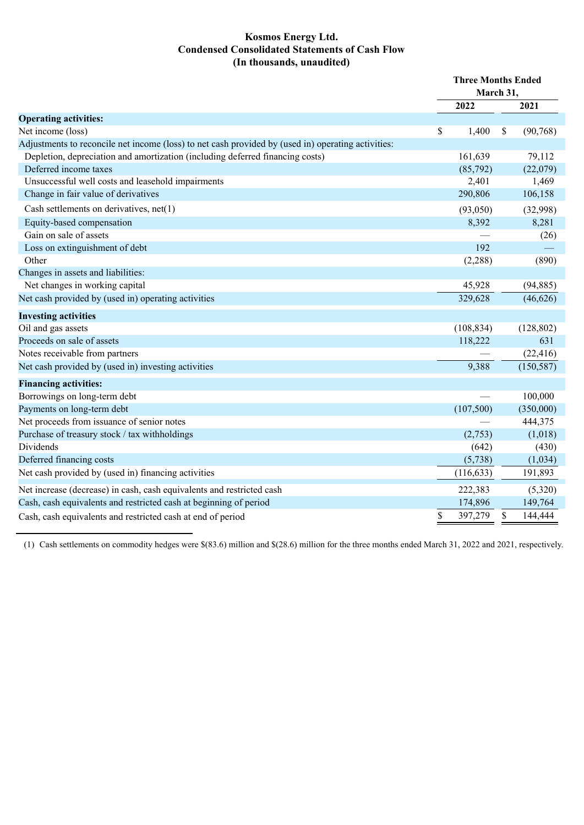# **Kosmos Energy Ltd. Condensed Consolidated Statements of Cash Flow (In thousands, unaudited)**

|                                                                                                    | <b>Three Months Ended</b><br>March 31, |            |      |            |
|----------------------------------------------------------------------------------------------------|----------------------------------------|------------|------|------------|
|                                                                                                    | 2022                                   |            | 2021 |            |
| <b>Operating activities:</b>                                                                       |                                        |            |      |            |
| Net income (loss)                                                                                  | \$                                     | 1,400      | \$   | (90, 768)  |
| Adjustments to reconcile net income (loss) to net cash provided by (used in) operating activities: |                                        |            |      |            |
| Depletion, depreciation and amortization (including deferred financing costs)                      |                                        | 161,639    |      | 79,112     |
| Deferred income taxes                                                                              |                                        | (85,792)   |      | (22,079)   |
| Unsuccessful well costs and leasehold impairments                                                  |                                        | 2,401      |      | 1,469      |
| Change in fair value of derivatives                                                                |                                        | 290,806    |      | 106,158    |
| Cash settlements on derivatives, net(1)                                                            |                                        | (93,050)   |      | (32,998)   |
| Equity-based compensation                                                                          |                                        | 8,392      |      | 8,281      |
| Gain on sale of assets                                                                             |                                        |            |      | (26)       |
| Loss on extinguishment of debt                                                                     |                                        | 192        |      |            |
| Other                                                                                              |                                        | (2, 288)   |      | (890)      |
| Changes in assets and liabilities:                                                                 |                                        |            |      |            |
| Net changes in working capital                                                                     |                                        | 45,928     |      | (94, 885)  |
| Net cash provided by (used in) operating activities                                                |                                        | 329,628    |      | (46, 626)  |
| <b>Investing activities</b>                                                                        |                                        |            |      |            |
| Oil and gas assets                                                                                 |                                        | (108, 834) |      | (128, 802) |
| Proceeds on sale of assets                                                                         |                                        | 118,222    |      | 631        |
| Notes receivable from partners                                                                     |                                        |            |      | (22, 416)  |
| Net cash provided by (used in) investing activities                                                |                                        | 9,388      |      | (150, 587) |
| <b>Financing activities:</b>                                                                       |                                        |            |      |            |
| Borrowings on long-term debt                                                                       |                                        |            |      | 100,000    |
| Payments on long-term debt                                                                         |                                        | (107, 500) |      | (350,000)  |
| Net proceeds from issuance of senior notes                                                         |                                        |            |      | 444,375    |
| Purchase of treasury stock / tax withholdings                                                      |                                        | (2,753)    |      | (1,018)    |
| Dividends                                                                                          |                                        | (642)      |      | (430)      |
| Deferred financing costs                                                                           |                                        | (5,738)    |      | (1,034)    |
| Net cash provided by (used in) financing activities                                                |                                        | (116, 633) |      | 191,893    |
| Net increase (decrease) in cash, cash equivalents and restricted cash                              |                                        | 222,383    |      | (5,320)    |
| Cash, cash equivalents and restricted cash at beginning of period                                  |                                        | 174,896    |      | 149,764    |
| Cash, cash equivalents and restricted cash at end of period                                        | \$                                     | 397,279    | \$   | 144,444    |

(1) Cash settlements on commodity hedges were \$(83.6) million and \$(28.6) million for the three months ended March 31, 2022 and 2021, respectively.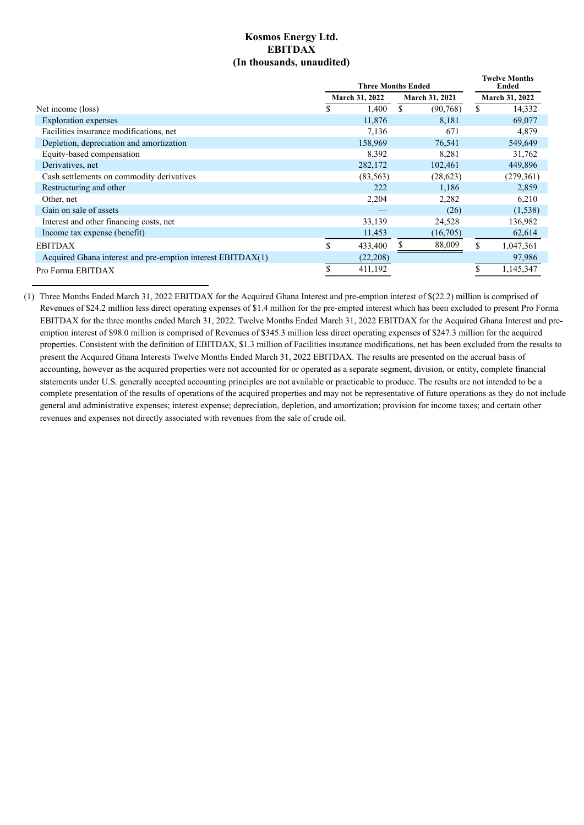#### **Kosmos Energy Ltd. EBITDAX (In thousands, unaudited)**

|                                                             | <b>Three Months Ended</b> |           |                       | <b>Twelve Months</b><br><b>Ended</b> |     |                |
|-------------------------------------------------------------|---------------------------|-----------|-----------------------|--------------------------------------|-----|----------------|
|                                                             | <b>March 31, 2022</b>     |           | <b>March 31, 2021</b> |                                      |     | March 31, 2022 |
| Net income (loss)                                           |                           | 1,400     | \$.                   | (90, 768)                            | \$. | 14,332         |
| <b>Exploration</b> expenses                                 |                           | 11,876    |                       | 8,181                                |     | 69,077         |
| Facilities insurance modifications, net                     |                           | 7,136     |                       | 671                                  |     | 4,879          |
| Depletion, depreciation and amortization                    |                           | 158,969   |                       | 76,541                               |     | 549,649        |
| Equity-based compensation                                   |                           | 8,392     |                       | 8,281                                |     | 31,762         |
| Derivatives, net                                            |                           | 282,172   |                       | 102,461                              |     | 449,896        |
| Cash settlements on commodity derivatives                   |                           | (83, 563) |                       | (28, 623)                            |     | (279,361)      |
| Restructuring and other                                     |                           | 222       |                       | 1,186                                |     | 2,859          |
| Other, net                                                  |                           | 2,204     |                       | 2,282                                |     | 6,210          |
| Gain on sale of assets                                      |                           |           |                       | (26)                                 |     | (1,538)        |
| Interest and other financing costs, net                     |                           | 33,139    |                       | 24,528                               |     | 136,982        |
| Income tax expense (benefit)                                |                           | 11,453    |                       | (16,705)                             |     | 62,614         |
| <b>EBITDAX</b>                                              | $\mathcal{S}$             | 433,400   |                       | 88,009                               | \$  | 1,047,361      |
| Acquired Ghana interest and pre-emption interest EBITDAX(1) |                           | (22, 208) |                       |                                      |     | 97,986         |
| Pro Forma EBITDAX                                           |                           | 411,192   |                       |                                      |     | 1,145,347      |

(1) Three Months Ended March 31, 2022 EBITDAX for the Acquired Ghana Interest and pre-emption interest of \$(22.2) million is comprised of Revenues of \$24.2 million less direct operating expenses of \$1.4 million for the pre-empted interest which has been excluded to present Pro Forma EBITDAX for the three months ended March 31, 2022. Twelve Months Ended March 31, 2022 EBITDAX for the Acquired Ghana Interest and preemption interest of \$98.0 million is comprised of Revenues of \$345.3 million less direct operating expenses of \$247.3 million for the acquired properties. Consistent with the definition of EBITDAX, \$1.3 million of Facilities insurance modifications, net has been excluded from the results to present the Acquired Ghana Interests Twelve Months Ended March 31, 2022 EBITDAX. The results are presented on the accrual basis of accounting, however as the acquired properties were not accounted for or operated as a separate segment, division, or entity, complete financial statements under U.S. generally accepted accounting principles are not available or practicable to produce. The results are not intended to be a complete presentation of the results of operations of the acquired properties and may not be representative of future operations as they do not include general and administrative expenses; interest expense; depreciation, depletion, and amortization; provision for income taxes; and certain other revenues and expenses not directly associated with revenues from the sale of crude oil.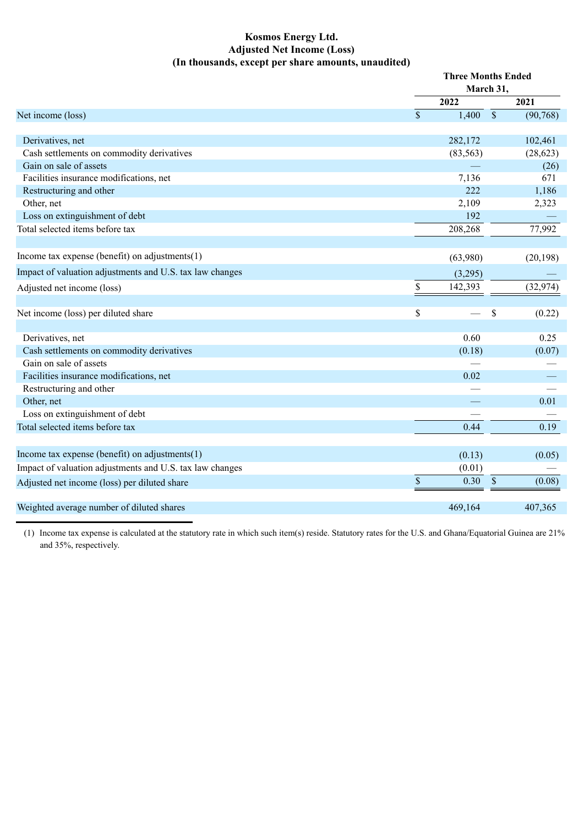### **Kosmos Energy Ltd. Adjusted Net Income (Loss) (In thousands, except per share amounts, unaudited)**

|                                                          | <b>Three Months Ended</b><br>March 31, |           |               |           |
|----------------------------------------------------------|----------------------------------------|-----------|---------------|-----------|
|                                                          |                                        | 2022      |               | 2021      |
| Net income (loss)                                        | $\mathsf{\$}$                          | 1,400     | $\mathcal{S}$ | (90, 768) |
| Derivatives, net                                         |                                        | 282,172   |               | 102,461   |
| Cash settlements on commodity derivatives                |                                        | (83, 563) |               | (28, 623) |
| Gain on sale of assets                                   |                                        |           |               | (26)      |
| Facilities insurance modifications, net                  |                                        | 7,136     |               | 671       |
| Restructuring and other                                  |                                        | 222       |               | 1,186     |
| Other, net                                               |                                        | 2,109     |               | 2,323     |
| Loss on extinguishment of debt                           |                                        | 192       |               |           |
| Total selected items before tax                          |                                        | 208,268   |               | 77,992    |
|                                                          |                                        |           |               |           |
| Income tax expense (benefit) on adjustments $(1)$        |                                        | (63,980)  |               | (20, 198) |
| Impact of valuation adjustments and U.S. tax law changes |                                        | (3,295)   |               |           |
| Adjusted net income (loss)                               | \$                                     | 142,393   |               | (32, 974) |
|                                                          |                                        |           |               |           |
| Net income (loss) per diluted share                      | \$                                     |           | \$            | (0.22)    |
|                                                          |                                        |           |               |           |
| Derivatives, net                                         |                                        | 0.60      |               | 0.25      |
| Cash settlements on commodity derivatives                |                                        | (0.18)    |               | (0.07)    |
| Gain on sale of assets                                   |                                        |           |               |           |
| Facilities insurance modifications, net                  |                                        | 0.02      |               |           |
| Restructuring and other                                  |                                        |           |               |           |
| Other, net                                               |                                        |           |               | 0.01      |
| Loss on extinguishment of debt                           |                                        |           |               |           |
| Total selected items before tax                          |                                        | 0.44      |               | 0.19      |
| Income tax expense (benefit) on adjustments $(1)$        |                                        | (0.13)    |               | (0.05)    |
| Impact of valuation adjustments and U.S. tax law changes |                                        | (0.01)    |               |           |
|                                                          |                                        |           |               |           |
| Adjusted net income (loss) per diluted share             | $\mathbb S$                            | 0.30      | $\mathcal{S}$ | (0.08)    |
| Weighted average number of diluted shares                |                                        | 469,164   |               | 407,365   |

(1) Income tax expense is calculated at the statutory rate in which such item(s) reside. Statutory rates for the U.S. and Ghana/Equatorial Guinea are 21% and 35%, respectively.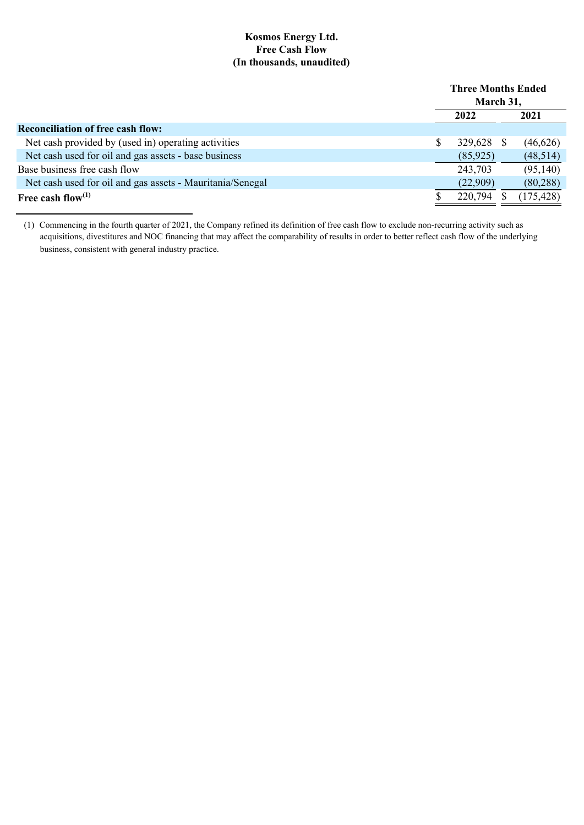### **Kosmos Energy Ltd. Free Cash Flow (In thousands, unaudited)**

|                                                           | <b>Three Months Ended</b><br>March 31, |          |  |            |
|-----------------------------------------------------------|----------------------------------------|----------|--|------------|
|                                                           |                                        | 2022     |  | 2021       |
| <b>Reconciliation of free cash flow:</b>                  |                                        |          |  |            |
| Net cash provided by (used in) operating activities       | S                                      | 329,628  |  | (46,626)   |
| Net cash used for oil and gas assets - base business      |                                        | (85,925) |  | (48,514)   |
| Base business free cash flow                              |                                        | 243,703  |  | (95, 140)  |
| Net cash used for oil and gas assets - Mauritania/Senegal |                                        | (22,909) |  | (80, 288)  |
| Free cash flow $(1)$                                      |                                        | 220,794  |  | (175, 428) |

(1) Commencing in the fourth quarter of 2021, the Company refined its definition of free cash flow to exclude non-recurring activity such as acquisitions, divestitures and NOC financing that may affect the comparability of results in order to better reflect cash flow of the underlying business, consistent with general industry practice.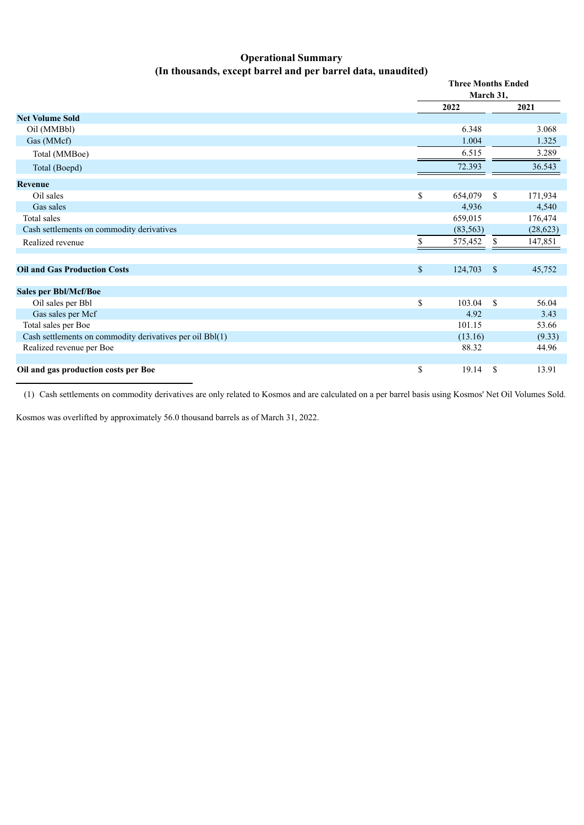# **Operational Summary (In thousands, except barrel and per barrel data, unaudited)**

|                                                          |              | <b>Three Months Ended</b> |               |  |
|----------------------------------------------------------|--------------|---------------------------|---------------|--|
|                                                          |              | March 31,                 |               |  |
|                                                          | 2022         |                           | 2021          |  |
| <b>Net Volume Sold</b>                                   |              |                           |               |  |
| Oil (MMBbl)                                              |              | 6.348                     | 3.068         |  |
| Gas (MMcf)                                               |              | 1.004                     | 1.325         |  |
| Total (MMBoe)                                            |              | 6.515                     | 3.289         |  |
| Total (Boepd)                                            |              | 72.393                    | 36.543        |  |
| <b>Revenue</b>                                           |              |                           |               |  |
| Oil sales                                                | \$           | \$<br>654,079             | 171,934       |  |
| Gas sales                                                |              | 4,936                     | 4,540         |  |
| Total sales                                              |              | 659,015                   | 176,474       |  |
| Cash settlements on commodity derivatives                |              | (83, 563)                 | (28, 623)     |  |
| Realized revenue                                         | S.           | 575,452                   | 147,851<br>S. |  |
|                                                          |              |                           |               |  |
| <b>Oil and Gas Production Costs</b>                      | $\mathbb{S}$ | 124,703<br><sup>\$</sup>  | 45,752        |  |
| Sales per Bbl/Mcf/Boe                                    |              |                           |               |  |
| Oil sales per Bbl                                        | \$           | 103.04<br>\$              | 56.04         |  |
| Gas sales per Mcf                                        |              | 4.92                      | 3.43          |  |
| Total sales per Boe                                      |              | 101.15                    | 53.66         |  |
| Cash settlements on commodity derivatives per oil Bbl(1) |              | (13.16)                   | (9.33)        |  |
| Realized revenue per Boe                                 |              | 88.32                     | 44.96         |  |
|                                                          |              |                           |               |  |
| Oil and gas production costs per Boe                     | \$           | 19.14<br><sup>\$</sup>    | 13.91         |  |

(1) Cash settlements on commodity derivatives are only related to Kosmos and are calculated on a per barrel basis using Kosmos' Net Oil Volumes Sold.

Kosmos was overlifted by approximately 56.0 thousand barrels as of March 31, 2022.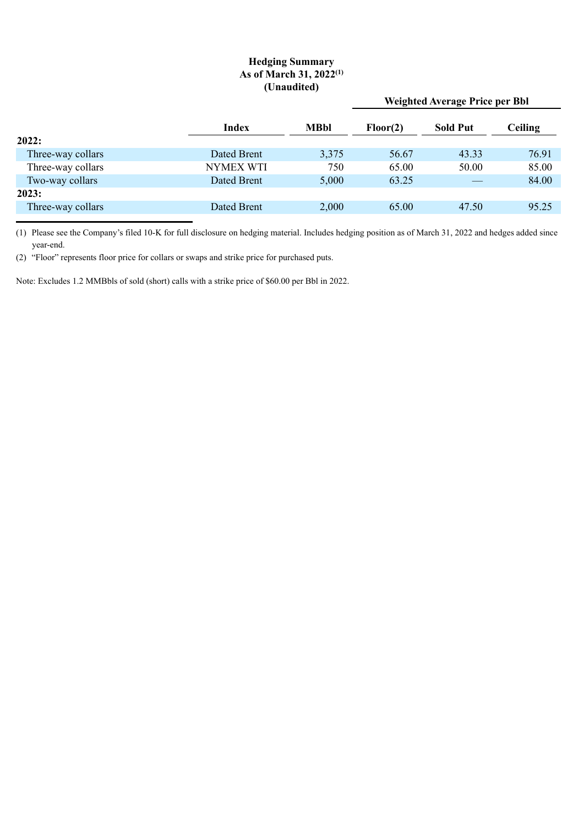## **Hedging Summary As of March 31, 2022 (1)(Unaudited)**

|                   |                  |             |          | <b>Weighted Average Price per Bbl</b> |                |
|-------------------|------------------|-------------|----------|---------------------------------------|----------------|
|                   | <b>Index</b>     | <b>MBbl</b> | Floor(2) | <b>Sold Put</b>                       | <b>Ceiling</b> |
| 2022:             |                  |             |          |                                       |                |
| Three-way collars | Dated Brent      | 3,375       | 56.67    | 43.33                                 | 76.91          |
| Three-way collars | <b>NYMEX WTI</b> | 750         | 65.00    | 50.00                                 | 85.00          |
| Two-way collars   | Dated Brent      | 5,000       | 63.25    |                                       | 84.00          |
| 2023:             |                  |             |          |                                       |                |
| Three-way collars | Dated Brent      | 2,000       | 65.00    | 47.50                                 | 95.25          |
|                   |                  |             |          |                                       |                |

(1) Please see the Company's filed 10-K for full disclosure on hedging material. Includes hedging position as of March 31, 2022 and hedges added since year-end.

(2) "Floor" represents floor price for collars or swaps and strike price for purchased puts.

Note: Excludes 1.2 MMBbls of sold (short) calls with a strike price of \$60.00 per Bbl in 2022.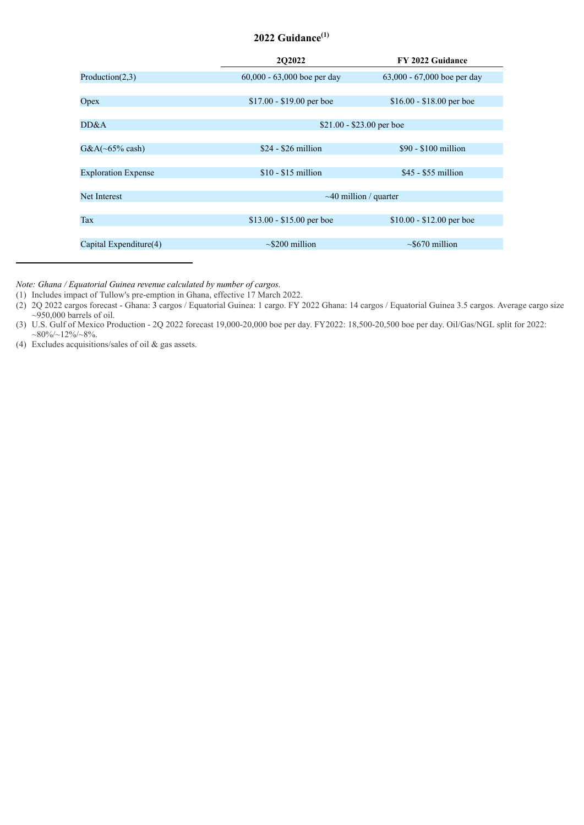#### **2022 Guidance (1)**

|                            | 202022                        | FY 2022 Guidance              |
|----------------------------|-------------------------------|-------------------------------|
| Production $(2,3)$         | $60,000 - 63,000$ boe per day | $63,000 - 67,000$ boe per day |
|                            |                               |                               |
| Opex                       | $$17.00 - $19.00$ per boe     | $$16.00 - $18.00$ per boe     |
|                            |                               |                               |
| DD&A                       |                               | $$21.00 - $23.00$ per boe     |
|                            |                               |                               |
| $G&A(\sim65\%$ cash)       | $$24 - $26$ million           | \$90 - \$100 million          |
|                            |                               |                               |
| <b>Exploration Expense</b> | $$10 - $15$ million           | $$45 - $55$ million           |
|                            |                               |                               |
| Net Interest               |                               | $\sim$ 40 million / quarter   |
|                            |                               |                               |
| Tax                        | $$13.00 - $15.00$ per boe     | $$10.00 - $12.00$ per boe     |
|                            |                               |                               |
| Capital Expenditure(4)     | $\sim$ \$200 million          | $\sim$ \$670 million          |
|                            |                               |                               |

*Note: Ghana / Equatorial Guinea revenue calculated by number of cargos.*

(1) Includes impact of Tullow's pre-emption in Ghana, effective 17 March 2022.

(3) U.S. Gulf of Mexico Production - 2Q 2022 forecast 19,000-20,000 boe per day. FY2022: 18,500-20,500 boe per day. Oil/Gas/NGL split for 2022:  $~12\%$  -80%

(4) Excludes acquisitions/sales of oil & gas assets.

<sup>(2)</sup> 2Q 2022 cargos forecast - Ghana: 3 cargos / Equatorial Guinea: 1 cargo. FY 2022 Ghana: 14 cargos / Equatorial Guinea 3.5 cargos. Average cargo size  $\sim$ 950,000 barrels of oil.